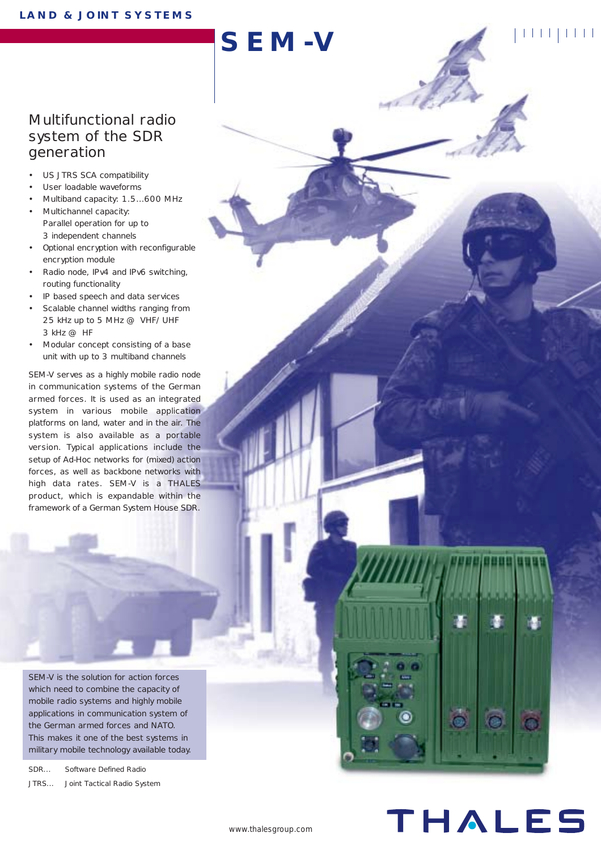### Multifunctional radio system of the SDR generation

- US JTRS SCA compatibility
- User loadable waveforms
- Multiband capacity: 1.5…600 MHz
- Multichannel capacity: Parallel operation for up to 3 independent channels
- Optional encryption with reconfigurable encryption module
- Radio node, IPv4 and IPv6 switching, routing functionality
- IP based speech and data services
- Scalable channel widths ranging from 25 kHz up to 5 MHz @ VHF/UHF 3 kHz @ HF
- Modular concept consisting of a base unit with up to 3 multiband channels

SEM-V serves as a highly mobile radio node in communication systems of the German armed forces. It is used as an integrated system in various mobile application platforms on land, water and in the air. The system is also available as a portable version. Typical applications include the setup of Ad-Hoc networks for (mixed) action forces, as well as backbone networks with high data rates. SEM-V is a THALES product, which is expandable within the framework of a German System House SDR.

SEM-V is the solution for action forces which need to combine the capacity of mobile radio systems and highly mobile applications in communication system of the German armed forces and NATO. This makes it one of the best systems in military mobile technology available today.

SDR... Software Defined Radio JTRS... Joint Tactical Radio System

THALES

**SEM-V**